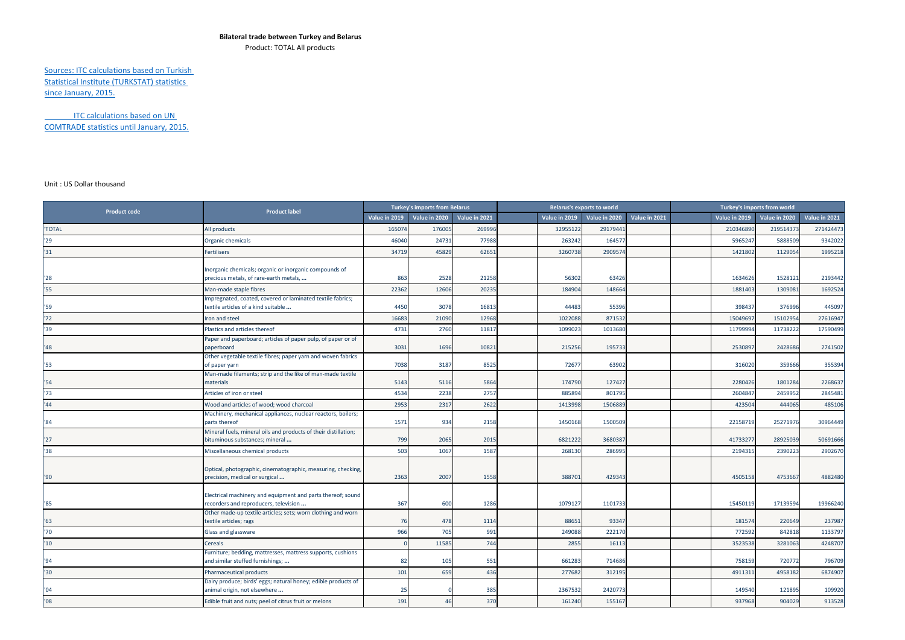## **Bilateral trade between Turkey and Belarus**

Product: TOTAL All products

Sources: ITC calculations based on Turkish Statistical Institute (TURKSTAT) statistics since January, 2015.

ITC calculations based on UN COMTRADE statistics until January, 2015.

## Unit : US Dollar thousand

| <b>Product code</b> | <b>Product label</b>                                                                                     | <b>Turkey's imports from Belarus</b> |               |               | <b>Belarus's exports to world</b> |               |               |               | Turkey's imports from world |                      |               |               |
|---------------------|----------------------------------------------------------------------------------------------------------|--------------------------------------|---------------|---------------|-----------------------------------|---------------|---------------|---------------|-----------------------------|----------------------|---------------|---------------|
|                     |                                                                                                          | Value in 2019                        | Value in 2020 | Value in 2021 |                                   | Value in 2019 | Value in 2020 | Value in 2021 |                             | <b>Value in 2019</b> | Value in 2020 | Value in 2021 |
| 'TOTAL              | All products                                                                                             | 165074                               | 176005        | 269996        |                                   | 32955122      | 29179441      |               |                             | 210346890            | 219514373     | 271424473     |
| '29                 | Organic chemicals                                                                                        | 46040                                | 24731         | 77988         |                                   | 263242        | 164577        |               |                             | 5965247              | 5888509       | 9342022       |
| '31                 | Fertilisers                                                                                              | 34719                                | 45829         | 62651         |                                   | 3260738       | 2909574       |               |                             | 1421802              | 1129054       | 1995218       |
|                     |                                                                                                          |                                      |               |               |                                   |               |               |               |                             |                      |               |               |
| '28                 | Inorganic chemicals; organic or inorganic compounds of<br>precious metals, of rare-earth metals,         | 863                                  | 2528          | 21258         |                                   | 56302         | 63426         |               |                             | 1634626              | 1528121       | 2193442       |
| '55                 | Man-made staple fibres                                                                                   | 22362                                | 12606         | 20235         |                                   | 184904        | 148664        |               |                             | 1881403              | 1309081       | 1692524       |
|                     | Impregnated, coated, covered or laminated textile fabrics;                                               |                                      |               |               |                                   |               |               |               |                             |                      |               |               |
| '59                 | textile articles of a kind suitable                                                                      | 4450                                 | 3078          | 16813         |                                   | 44483         | 55396         |               |                             | 398437               | 376996        | 445097        |
| '72                 | ron and steel                                                                                            | 16683                                | 21090         | 12968         |                                   | 1022088       | 871532        |               |                             | 15049697             | 15102954      | 27616947      |
| '39                 | Plastics and articles thereof                                                                            | 4731                                 | 2760          | 11817         |                                   | 1099023       | 1013680       |               |                             | 11799994             | 11738222      | 17590499      |
| '48                 | Paper and paperboard; articles of paper pulp, of paper or of                                             | 3031                                 | 1696          | 10821         |                                   | 215256        | 195733        |               |                             | 2530897              | 2428686       | 2741502       |
|                     | paperboard<br>Other vegetable textile fibres; paper yarn and woven fabrics                               |                                      |               |               |                                   |               |               |               |                             |                      |               |               |
| '53                 | of paper yarn                                                                                            | 7038                                 | 3187          | 8525          |                                   | 72677         | 63902         |               |                             | 316020               | 359666        | 355394        |
|                     | Man-made filaments; strip and the like of man-made textile                                               |                                      |               |               |                                   |               |               |               |                             |                      |               |               |
| '54                 | materials                                                                                                | 5143                                 | 5116          | 5864          |                                   | 174790        | 127427        |               |                             | 2280426              | 1801284       | 2268637       |
| '73                 | Articles of iron or steel                                                                                | 4534                                 | 2238          | 2757          |                                   | 885894        | 801795        |               |                             | 2604847              | 2459952       | 2845481       |
| '44                 | Wood and articles of wood; wood charcoal<br>Machinery, mechanical appliances, nuclear reactors, boilers; | 2953                                 | 2317          | 2622          |                                   | 1413998       | 1506889       |               |                             | 423504               | 444065        | 485106        |
| '84                 | parts thereof                                                                                            | 1571                                 | 934           | 2158          |                                   | 1450168       | 1500509       |               |                             | 2215871              | 25271976      | 30964449      |
|                     | Mineral fuels, mineral oils and products of their distillation;                                          |                                      |               |               |                                   |               |               |               |                             |                      |               |               |
| "27"                | bituminous substances; mineral                                                                           | 799                                  | 2065          | 2015          |                                   | 6821222       | 3680387       |               |                             | 4173327              | 28925039      | 50691666      |
| 38                  | Miscellaneous chemical products                                                                          | 503                                  | 1067          | 1587          |                                   | 268130        | 286995        |               |                             | 2194315              | 2390223       | 2902670       |
|                     | Optical, photographic, cinematographic, measuring, checking,                                             |                                      |               |               |                                   |               |               |               |                             |                      |               |               |
| '90                 | precision, medical or surgical                                                                           | 2363                                 | 2007          | 1558          |                                   | 388701        | 429343        |               |                             | 4505158              | 4753667       | 4882480       |
|                     |                                                                                                          |                                      |               |               |                                   |               |               |               |                             |                      |               |               |
| '85                 | Electrical machinery and equipment and parts thereof; sound<br>recorders and reproducers, television     | 367                                  | 600           | 1286          |                                   | 1079127       | 1101733       |               |                             | 15450119             | 17139594      | 19966240      |
|                     | Other made-up textile articles; sets; worn clothing and worn                                             |                                      |               |               |                                   |               |               |               |                             |                      |               |               |
| 163                 | textile articles; rags                                                                                   | 76                                   | 478           | 1114          |                                   | 88651         | 93347         |               |                             | 181574               | 220649        | 237987        |
| '70                 | Glass and glassware                                                                                      | 966                                  | 705           | 991           |                                   | 249088        | 222170        |               |                             | 772592               | 842818        | 1133797       |
| $10^{-1}$           | Cereals                                                                                                  |                                      | 11585         | 744           |                                   | 2855          | 16113         |               |                             | 3523538              | 3281063       | 4248707       |
| '94                 | Furniture; bedding, mattresses, mattress supports, cushions                                              |                                      |               |               |                                   | 661283        | 714686        |               |                             | 758159               | 720772        | 796709        |
| '30                 | and similar stuffed furnishings;                                                                         | 82                                   | 105           | 551           |                                   |               |               |               |                             |                      |               |               |
|                     | Pharmaceutical products<br>Dairy produce; birds' eggs; natural honey; edible products of                 | 101                                  | 659           | 436           |                                   | 277682        | 312195        |               |                             | 4911311              | 4958182       | 6874907       |
| '04                 | animal origin, not elsewhere                                                                             | 25                                   |               | 385           |                                   | 2367532       | 2420773       |               |                             | 149540               | 121895        | 109920        |
| '08                 | Edible fruit and nuts; peel of citrus fruit or melons                                                    | 191                                  | 46            | 370           |                                   | 161240        | 155167        |               |                             | 937968               | 904029        | 913528        |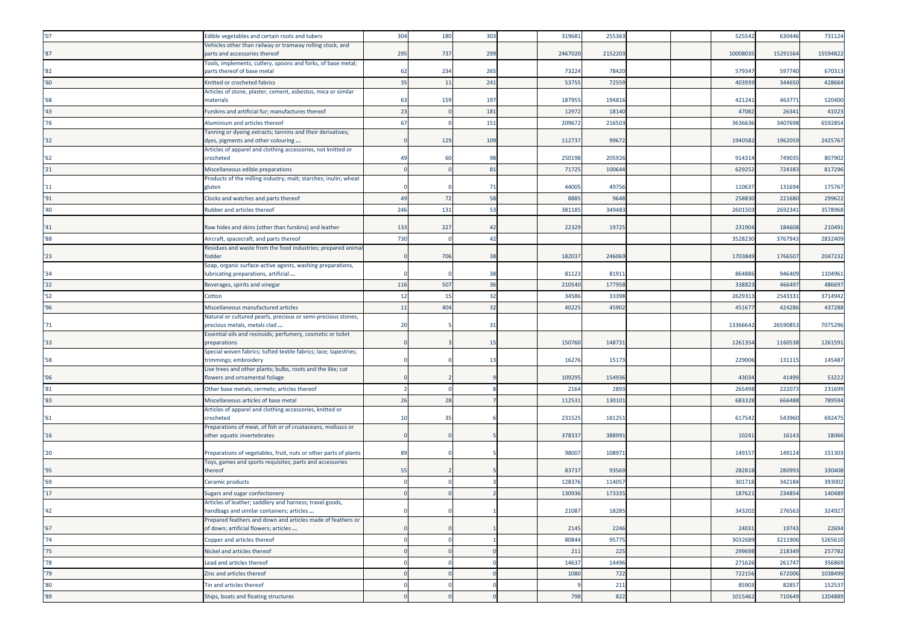| '07           | Edible vegetables and certain roots and tubers                                                       | 304 | 180 | 303 | 319681          | 255363          |  | 525542  | 630446   | 731124   |
|---------------|------------------------------------------------------------------------------------------------------|-----|-----|-----|-----------------|-----------------|--|---------|----------|----------|
|               | Vehicles other than railway or tramway rolling stock, and                                            |     |     |     |                 |                 |  |         |          |          |
| '87           | parts and accessories thereof<br>Tools, implements, cutlery, spoons and forks, of base metal;        | 295 | 737 | 299 | 2467020         | 2152203         |  | 1000803 | 15291564 | 15594822 |
| '82           | parts thereof of base metal                                                                          | 62  | 234 | 265 | 73224           | 78420           |  | 57934   | 597740   | 670313   |
| '60           | Knitted or crocheted fabrics                                                                         | 35  | 11  | 241 | 53755           | 72559           |  | 403939  | 344650   | 428664   |
| $^{\prime}68$ | Articles of stone, plaster, cement, asbestos, mica or similar<br>naterials                           | 63  | 159 | 197 | 187955          | 194816          |  | 42124   | 463771   | 520400   |
| '43           | Furskins and artificial fur; manufactures thereof                                                    | 23  |     | 181 | 12972           | 18140           |  | 4708    | 26341    | 41023    |
| '76           | Aluminium and articles thereof                                                                       | 67  |     | 151 | 209672          | 216503          |  | 363663  | 3407698  | 6592854  |
| '32           | Tanning or dyeing extracts; tannins and their derivatives;<br>dyes, pigments and other colouring     |     | 129 | 109 | 112737          | 99672           |  | 1940582 | 1962059  | 2425767  |
| 162           | Articles of apparel and clothing accessories, not knitted or<br>crocheted                            | 49  | 60  | 98  | 250198          | 205926          |  | 91431   | 749035   | 807902   |
| '21           | Miscellaneous edible preparations                                                                    |     |     | 81  | 71725           | 100644          |  | 629252  | 724383   | 817296   |
|               | Products of the milling industry; malt; starches; inulin; wheat                                      |     |     |     |                 |                 |  |         |          |          |
| '11           | gluten                                                                                               |     |     | 71  | 44005           | 49756           |  | 110637  | 131694   | 175767   |
| '91           | Clocks and watches and parts thereof                                                                 | 49  | 72  | 58  | 8885            | 9648            |  | 258830  | 221680   | 299622   |
| '40           | Rubber and articles thereof                                                                          | 246 | 131 | 53  | 381185          | 349483          |  | 260150  | 269234   | 3578968  |
| '41           | Raw hides and skins (other than furskins) and leather                                                | 133 | 227 | 42  | 22329           | 19725           |  | 231904  | 184608   | 210491   |
| '88           | Aircraft, spacecraft, and parts thereof                                                              | 730 |     | 42  |                 |                 |  | 352823  | 3767943  | 2832409  |
|               | Residues and waste from the food industries; prepared animal                                         |     |     |     |                 |                 |  |         |          |          |
| '23           | fodder                                                                                               |     | 706 | 38  | 182037          | 246069          |  | 1703849 | 1766507  | 2047232  |
| '34           | Soap, organic surface-active agents, washing preparations,<br>lubricating preparations, artificial   |     |     | 38  | 81123           | 81911           |  | 86488   | 946409   | 1104961  |
| '22           | Beverages, spirits and vinegar                                                                       | 116 | 507 | 36  | 210540          | 177958          |  | 338823  | 466497   | 486697   |
| "52"          | Cotton                                                                                               | 12  | 15  | 32  | 34586           | 33398           |  | 262931  | 2543331  | 3714942  |
| '96           | Miscellaneous manufactured articles                                                                  | 11  | 404 | 32  | 40225           | 45902           |  | 45167   | 424286   | 437288   |
|               | Natural or cultured pearls, precious or semi-precious stones,                                        |     |     |     |                 |                 |  |         |          |          |
|               |                                                                                                      |     |     |     |                 |                 |  |         |          |          |
| '71           | precious metals, metals clad                                                                         | 20  |     | 31  |                 |                 |  | 1336664 | 26590853 | 7075296  |
|               | Essential oils and resinoids; perfumery, cosmetic or toilet                                          |     |     | 1!  | 150760          | 148731          |  |         |          |          |
| '33           | preparations<br>Special woven fabrics; tufted textile fabrics; lace; tapestries;                     |     |     |     |                 |                 |  | 126135  | 1160538  | 1261591  |
| '58           | trimmings; embroidery                                                                                |     |     | 13  | 16276           | 15173           |  | 22900   | 131115   | 145487   |
| '06           | Live trees and other plants; bulbs, roots and the like; cut<br>lowers and ornamental foliage         |     |     |     | 109295          | 154936          |  | 43034   | 41499    | 53222    |
| '81           | Other base metals; cermets; articles thereof                                                         |     |     |     | 2164            | 2893            |  | 265498  | 222073   | 231699   |
| '83           | Miscellaneous articles of base metal                                                                 | 26  | 28  |     | 11253           | 13010:          |  | 683328  | 666488   | 789594   |
|               | Articles of apparel and clothing accessories, knitted or                                             |     |     |     |                 |                 |  |         |          |          |
| 161           | crocheted                                                                                            | 10  | 35  |     | 231525          | 181251          |  | 617542  | 543960   | 692475   |
| '16           | Preparations of meat, of fish or of crustaceans, molluscs or<br>other aquatic invertebrates          |     |     |     | 378337          | 388991          |  | 10241   | 16143    | 18066    |
| '20           | Preparations of vegetables, fruit, nuts or other parts of plants                                     | 89  |     |     | 98007           | 108971          |  | 14915   | 149124   | 151303   |
|               | Toys, games and sports requisites; parts and accessories                                             |     |     |     |                 |                 |  |         |          |          |
| '95           | thereof                                                                                              | 55  |     |     | 83737<br>128376 | 93569<br>114057 |  | 282818  | 280993   | 330408   |
| '69           | Ceramic products                                                                                     |     |     |     |                 |                 |  | 301718  | 342184   | 393002   |
| 17            | Sugars and sugar confectionery<br>Articles of leather; saddlery and harness; travel goods,           |     |     |     | 130936          | 17333           |  | 18762   | 23485    | 140489   |
| '42           | andbags and similar containers: articles                                                             |     |     |     | 21087           | 18285           |  | 343202  | 276563   | 324927   |
| '67           | Prepared feathers and down and articles made of feathers or<br>of down; artificial flowers; articles |     |     |     | 2145            | 2246            |  | 24031   | 19743    | 22694    |
| '74           | Copper and articles thereof                                                                          |     |     |     | 80844           | 95775           |  | 3032689 | 3211906  | 5265610  |
| '75           | Nickel and articles thereof                                                                          |     |     |     | 211             | 225             |  | 299698  | 218349   | 257782   |
| '78           | Lead and articles thereof                                                                            |     |     |     | 14637           | 14496           |  | 271626  | 261747   | 356869   |
| '79           | Zinc and articles thereof                                                                            |     |     |     | 1080            | 722             |  | 722156  | 672006   | 1038499  |
| '80           | Tin and articles thereof                                                                             |     |     |     |                 | 211             |  | 85903   | 82857    | 152537   |